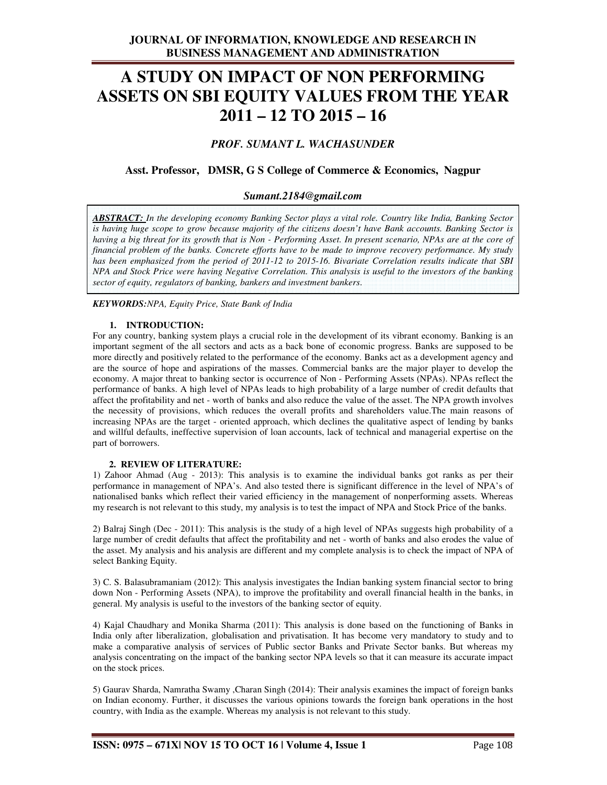# **A STUDY ON IMPACT OF NON PERFORMING ASSETS ON SBI EQUITY VALUES FROM THE YEAR 2011 – 12 TO 2015 – 16**

# *PROF. SUMANT L. WACHASUNDER*

# **Asst. Professor, DMSR, G S College of Commerce & Economics, Nagpur**

# *Sumant.2184@gmail.com*

*ABSTRACT: In the developing economy Banking Sector plays a vital role. Country like India, Banking Sector is having huge scope to grow because majority of the citizens doesn't have Bank accounts. Banking Sector is having a big threat for its growth that is Non - Performing Asset. In present scenario, NPAs are at the core of financial problem of the banks. Concrete efforts have to be made to improve recovery performance. My study has been emphasized from the period of 2011-12 to 2015-16. Bivariate Correlation results indicate that SBI NPA and Stock Price were having Negative Correlation. This analysis is useful to the investors of the banking sector of equity, regulators of banking, bankers and investment bankers*.

*KEYWORDS:NPA, Equity Price, State Bank of India* 

#### **1. INTRODUCTION:**

For any country, banking system plays a crucial role in the development of its vibrant economy. Banking is an important segment of the all sectors and acts as a back bone of economic progress. Banks are supposed to be more directly and positively related to the performance of the economy. Banks act as a development agency and are the source of hope and aspirations of the masses. Commercial banks are the major player to develop the economy. A major threat to banking sector is occurrence of Non - Performing Assets (NPAs). NPAs reflect the performance of banks. A high level of NPAs leads to high probability of a large number of credit defaults that affect the profitability and net - worth of banks and also reduce the value of the asset. The NPA growth involves the necessity of provisions, which reduces the overall profits and shareholders value.The main reasons of increasing NPAs are the target - oriented approach, which declines the qualitative aspect of lending by banks and willful defaults, ineffective supervision of loan accounts, lack of technical and managerial expertise on the part of borrowers.

#### **2. REVIEW OF LITERATURE:**

1) Zahoor Ahmad (Aug - 2013): This analysis is to examine the individual banks got ranks as per their performance in management of NPA's. And also tested there is significant difference in the level of NPA's of nationalised banks which reflect their varied efficiency in the management of nonperforming assets. Whereas my research is not relevant to this study, my analysis is to test the impact of NPA and Stock Price of the banks.

2) Balraj Singh (Dec - 2011): This analysis is the study of a high level of NPAs suggests high probability of a large number of credit defaults that affect the profitability and net - worth of banks and also erodes the value of the asset. My analysis and his analysis are different and my complete analysis is to check the impact of NPA of select Banking Equity.

3) C. S. Balasubramaniam (2012): This analysis investigates the Indian banking system financial sector to bring down Non - Performing Assets (NPA), to improve the profitability and overall financial health in the banks, in general. My analysis is useful to the investors of the banking sector of equity.

4) Kajal Chaudhary and Monika Sharma (2011): This analysis is done based on the functioning of Banks in India only after liberalization, globalisation and privatisation. It has become very mandatory to study and to make a comparative analysis of services of Public sector Banks and Private Sector banks. But whereas my analysis concentrating on the impact of the banking sector NPA levels so that it can measure its accurate impact on the stock prices.

5) Gaurav Sharda, Namratha Swamy ,Charan Singh (2014): Their analysis examines the impact of foreign banks on Indian economy. Further, it discusses the various opinions towards the foreign bank operations in the host country, with India as the example. Whereas my analysis is not relevant to this study.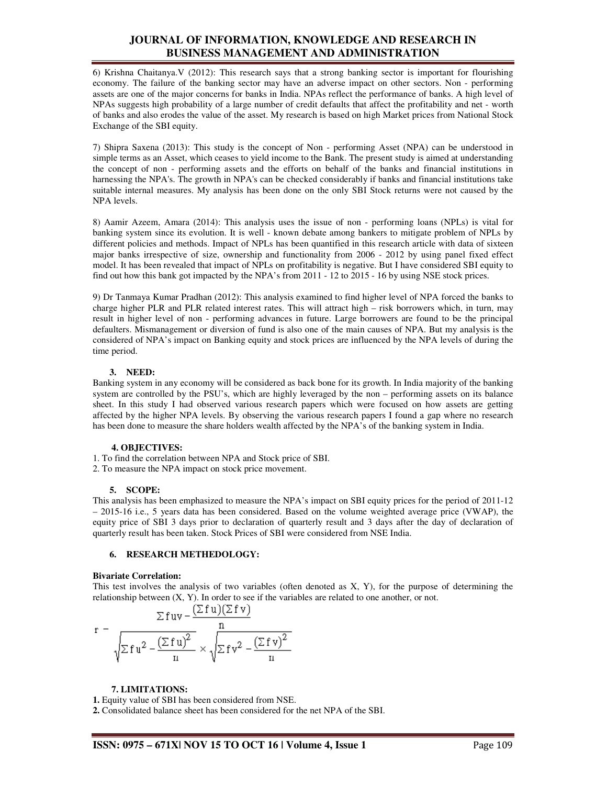# **JOURNAL OF INFORMATION, KNOWLEDGE AND RESEARCH IN BUSINESS MANAGEMENT AND ADMINISTRATION**

6) Krishna Chaitanya.V (2012): This research says that a strong banking sector is important for flourishing economy. The failure of the banking sector may have an adverse impact on other sectors. Non - performing assets are one of the major concerns for banks in India. NPAs reflect the performance of banks. A high level of NPAs suggests high probability of a large number of credit defaults that affect the profitability and net - worth of banks and also erodes the value of the asset. My research is based on high Market prices from National Stock Exchange of the SBI equity.

7) Shipra Saxena (2013): This study is the concept of Non - performing Asset (NPA) can be understood in simple terms as an Asset, which ceases to yield income to the Bank. The present study is aimed at understanding the concept of non - performing assets and the efforts on behalf of the banks and financial institutions in harnessing the NPA's. The growth in NPA's can be checked considerably if banks and financial institutions take suitable internal measures. My analysis has been done on the only SBI Stock returns were not caused by the NPA levels.

8) Aamir Azeem, Amara (2014): This analysis uses the issue of non - performing loans (NPLs) is vital for banking system since its evolution. It is well - known debate among bankers to mitigate problem of NPLs by different policies and methods. Impact of NPLs has been quantified in this research article with data of sixteen major banks irrespective of size, ownership and functionality from 2006 - 2012 by using panel fixed effect model. It has been revealed that impact of NPLs on profitability is negative. But I have considered SBI equity to find out how this bank got impacted by the NPA's from 2011 - 12 to 2015 - 16 by using NSE stock prices.

9) Dr Tanmaya Kumar Pradhan (2012): This analysis examined to find higher level of NPA forced the banks to charge higher PLR and PLR related interest rates. This will attract high – risk borrowers which, in turn, may result in higher level of non - performing advances in future. Large borrowers are found to be the principal defaulters. Mismanagement or diversion of fund is also one of the main causes of NPA. But my analysis is the considered of NPA's impact on Banking equity and stock prices are influenced by the NPA levels of during the time period.

#### **3. NEED:**

Banking system in any economy will be considered as back bone for its growth. In India majority of the banking system are controlled by the PSU's, which are highly leveraged by the non – performing assets on its balance sheet. In this study I had observed various research papers which were focused on how assets are getting affected by the higher NPA levels. By observing the various research papers I found a gap where no research has been done to measure the share holders wealth affected by the NPA's of the banking system in India.

## **4. OBJECTIVES:**

- 1. To find the correlation between NPA and Stock price of SBI.
- 2. To measure the NPA impact on stock price movement.

## **5. SCOPE:**

This analysis has been emphasized to measure the NPA's impact on SBI equity prices for the period of 2011-12 – 2015-16 i.e., 5 years data has been considered. Based on the volume weighted average price (VWAP), the equity price of SBI 3 days prior to declaration of quarterly result and 3 days after the day of declaration of quarterly result has been taken. Stock Prices of SBI were considered from NSE India.

## **6. RESEARCH METHEDOLOGY:**

#### **Bivariate Correlation:**

This test involves the analysis of two variables (often denoted as X, Y), for the purpose of determining the relationship between (X, Y). In order to see if the variables are related to one another, or not.

$$
r = \frac{\sum fuv - \frac{(\sum fu)(\sum fv)}{n}}{\sqrt{\sum fu^2 - \frac{(\sum fu)^2}{n}}} \times \sqrt{\sum fv^2 - \frac{(\sum fv)^2}{n}}
$$

## **7. LIMITATIONS:**

**1.** Equity value of SBI has been considered from NSE.

**2.** Consolidated balance sheet has been considered for the net NPA of the SBI.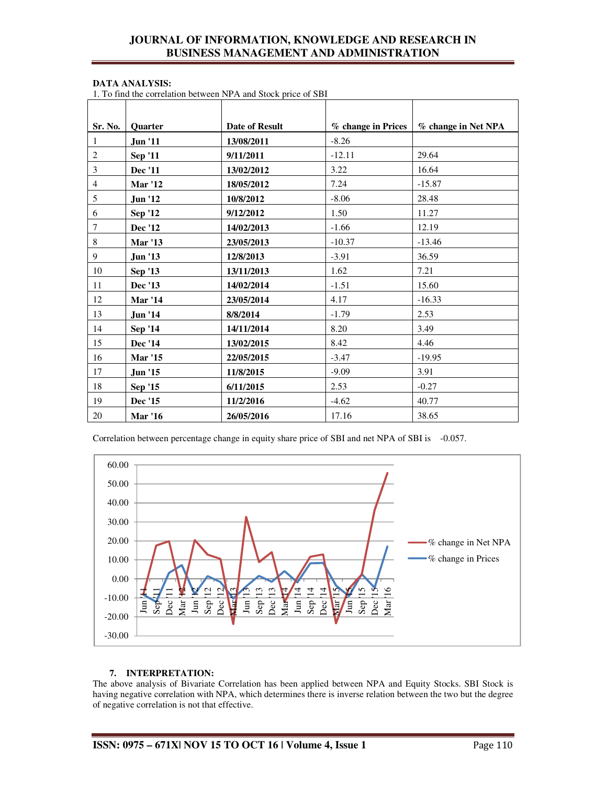# **JOURNAL OF INFORMATION, KNOWLEDGE AND RESEARCH IN BUSINESS MANAGEMENT AND ADMINISTRATION**

#### **DATA ANALYSIS:**

1. To find the correlation between NPA and Stock price of SBI

| Sr. No.        | Quarter        | <b>Date of Result</b> | % change in Prices | % change in Net NPA |
|----------------|----------------|-----------------------|--------------------|---------------------|
| 1              | <b>Jun</b> '11 | 13/08/2011            | $-8.26$            |                     |
| $\sqrt{2}$     | <b>Sep '11</b> | 9/11/2011             | $-12.11$           | 29.64               |
| 3              | <b>Dec</b> '11 | 13/02/2012            | 3.22               | 16.64               |
| $\overline{4}$ | <b>Mar '12</b> | 18/05/2012            | 7.24               | $-15.87$            |
| 5              | <b>Jun '12</b> | 10/8/2012             | $-8.06$            | 28.48               |
| 6              | <b>Sep '12</b> | 9/12/2012             | 1.50               | 11.27               |
| $\overline{7}$ | <b>Dec</b> '12 | 14/02/2013            | $-1.66$            | 12.19               |
| $8\,$          | <b>Mar '13</b> | 23/05/2013            | $-10.37$           | $-13.46$            |
| $\overline{9}$ | <b>Jun '13</b> | 12/8/2013             | $-3.91$            | 36.59               |
| 10             | Sep '13        | 13/11/2013            | 1.62               | 7.21                |
| 11             | Dec '13        | 14/02/2014            | $-1.51$            | 15.60               |
| 12             | <b>Mar '14</b> | 23/05/2014            | 4.17               | $-16.33$            |
| 13             | <b>Jun '14</b> | 8/8/2014              | $-1.79$            | 2.53                |
| 14             | Sep '14        | 14/11/2014            | 8.20               | 3.49                |
| 15             | Dec '14        | 13/02/2015            | 8.42               | 4.46                |
| 16             | <b>Mar</b> '15 | 22/05/2015            | $-3.47$            | $-19.95$            |
| 17             | <b>Jun</b> '15 | 11/8/2015             | $-9.09$            | 3.91                |
| $18\,$         | Sep '15        | 6/11/2015             | 2.53               | $-0.27$             |
| 19             | Dec '15        | 11/2/2016             | $-4.62$            | 40.77               |
| 20             | <b>Mar '16</b> | 26/05/2016            | 17.16              | 38.65               |

Correlation between percentage change in equity share price of SBI and net NPA of SBI is -0.057.



## **7. INTERPRETATION:**

The above analysis of Bivariate Correlation has been applied between NPA and Equity Stocks. SBI Stock is having negative correlation with NPA, which determines there is inverse relation between the two but the degree of negative correlation is not that effective.